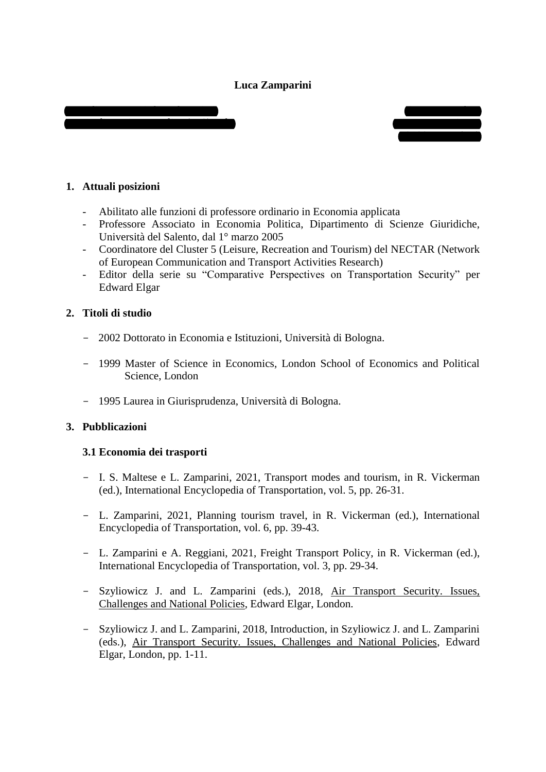## **Luca Zamparini**





## **1. Attuali posizioni**

- Abilitato alle funzioni di professore ordinario in Economia applicata
- Professore Associato in Economia Politica, Dipartimento di Scienze Giuridiche, Università del Salento, dal 1° marzo 2005
- Coordinatore del Cluster 5 (Leisure, Recreation and Tourism) del NECTAR (Network of European Communication and Transport Activities Research)
- Editor della serie su "Comparative Perspectives on Transportation Security" per Edward Elgar

## **2. Titoli di studio**

- 2002 Dottorato in Economia e Istituzioni, Università di Bologna.
- 1999 Master of Science in Economics, London School of Economics and Political Science, London
- 1995 Laurea in Giurisprudenza, Università di Bologna.

# **3. Pubblicazioni**

#### **3.1 Economia dei trasporti**

- I. S. Maltese e L. Zamparini, 2021, Transport modes and tourism, in R. Vickerman (ed.), International Encyclopedia of Transportation, vol. 5, pp. 26-31.
- L. Zamparini, 2021, Planning tourism travel, in R. Vickerman (ed.), International Encyclopedia of Transportation, vol. 6, pp. 39-43.
- L. Zamparini e A. Reggiani, 2021, Freight Transport Policy, in R. Vickerman (ed.), International Encyclopedia of Transportation, vol. 3, pp. 29-34.
- Szyliowicz J. and L. Zamparini (eds.), 2018, Air Transport Security. Issues, Challenges and National Policies, Edward Elgar, London.
- Szyliowicz J. and L. Zamparini, 2018, Introduction, in Szyliowicz J. and L. Zamparini (eds.), Air Transport Security. Issues, Challenges and National Policies, Edward Elgar, London, pp. 1-11.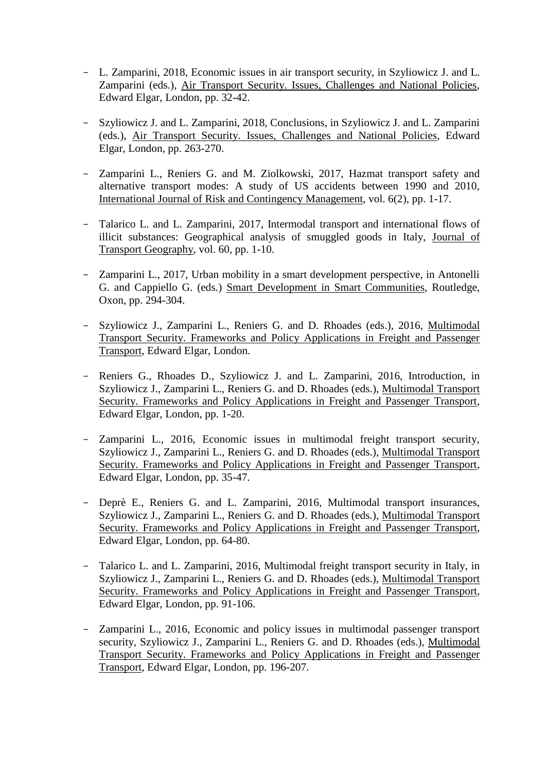- L. Zamparini, 2018, Economic issues in air transport security, in Szyliowicz J. and L. Zamparini (eds.), Air Transport Security. Issues, Challenges and National Policies, Edward Elgar, London, pp. 32-42.
- Szyliowicz J. and L. Zamparini, 2018, Conclusions, in Szyliowicz J. and L. Zamparini (eds.), Air Transport Security. Issues, Challenges and National Policies, Edward Elgar, London, pp. 263-270.
- Zamparini L., Reniers G. and M. Ziolkowski, 2017, Hazmat transport safety and alternative transport modes: A study of US accidents between 1990 and 2010, International Journal of Risk and Contingency Management, vol. 6(2), pp. 1-17.
- Talarico L. and L. Zamparini, 2017, Intermodal transport and international flows of illicit substances: Geographical analysis of smuggled goods in Italy, Journal of Transport Geography, vol. 60, pp. 1-10.
- Zamparini L., 2017, Urban mobility in a smart development perspective, in Antonelli G. and Cappiello G. (eds.) Smart Development in Smart Communities, Routledge, Oxon, pp. 294-304.
- Szyliowicz J., Zamparini L., Reniers G. and D. Rhoades (eds.), 2016, Multimodal Transport Security. Frameworks and Policy Applications in Freight and Passenger Transport, Edward Elgar, London.
- Reniers G., Rhoades D., Szyliowicz J. and L. Zamparini, 2016, Introduction, in Szyliowicz J., Zamparini L., Reniers G. and D. Rhoades (eds.), Multimodal Transport Security. Frameworks and Policy Applications in Freight and Passenger Transport, Edward Elgar, London, pp. 1-20.
- Zamparini L., 2016, Economic issues in multimodal freight transport security, Szyliowicz J., Zamparini L., Reniers G. and D. Rhoades (eds.), Multimodal Transport Security. Frameworks and Policy Applications in Freight and Passenger Transport, Edward Elgar, London, pp. 35-47.
- Deprè E., Reniers G. and L. Zamparini, 2016, Multimodal transport insurances, Szyliowicz J., Zamparini L., Reniers G. and D. Rhoades (eds.), Multimodal Transport Security. Frameworks and Policy Applications in Freight and Passenger Transport, Edward Elgar, London, pp. 64-80.
- Talarico L. and L. Zamparini, 2016, Multimodal freight transport security in Italy, in Szyliowicz J., Zamparini L., Reniers G. and D. Rhoades (eds.), Multimodal Transport Security. Frameworks and Policy Applications in Freight and Passenger Transport, Edward Elgar, London, pp. 91-106.
- Zamparini L., 2016, Economic and policy issues in multimodal passenger transport security, Szyliowicz J., Zamparini L., Reniers G. and D. Rhoades (eds.), Multimodal Transport Security. Frameworks and Policy Applications in Freight and Passenger Transport, Edward Elgar, London, pp. 196-207.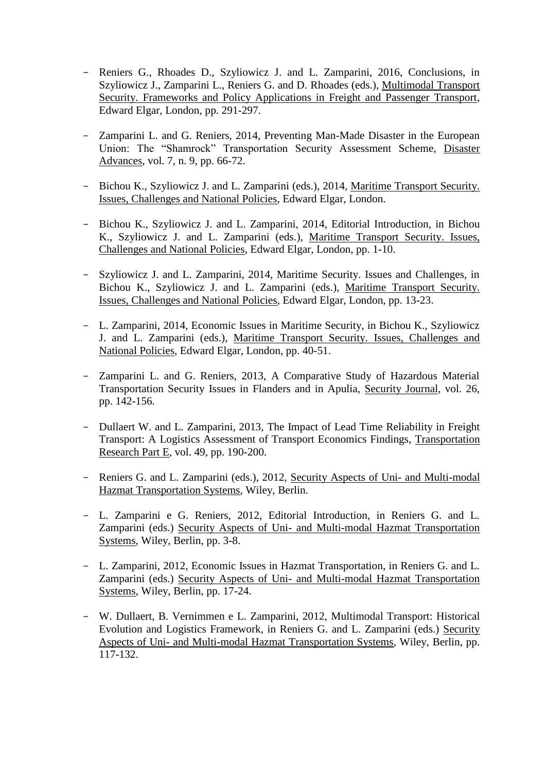- Reniers G., Rhoades D., Szyliowicz J. and L. Zamparini, 2016, Conclusions, in Szyliowicz J., Zamparini L., Reniers G. and D. Rhoades (eds.), Multimodal Transport Security. Frameworks and Policy Applications in Freight and Passenger Transport, Edward Elgar, London, pp. 291-297.
- Zamparini L. and G. Reniers, 2014, Preventing Man-Made Disaster in the European Union: The "Shamrock" Transportation Security Assessment Scheme, Disaster Advances, vol. 7, n. 9, pp. 66-72.
- Bichou K., Szyliowicz J. and L. Zamparini (eds.), 2014, Maritime Transport Security. Issues, Challenges and National Policies, Edward Elgar, London.
- Bichou K., Szyliowicz J. and L. Zamparini, 2014, Editorial Introduction, in Bichou K., Szyliowicz J. and L. Zamparini (eds.), Maritime Transport Security. Issues, Challenges and National Policies, Edward Elgar, London, pp. 1-10.
- Szyliowicz J. and L. Zamparini, 2014, Maritime Security. Issues and Challenges, in Bichou K., Szyliowicz J. and L. Zamparini (eds.), Maritime Transport Security. Issues, Challenges and National Policies, Edward Elgar, London, pp. 13-23.
- L. Zamparini, 2014, Economic Issues in Maritime Security, in Bichou K., Szyliowicz J. and L. Zamparini (eds.), Maritime Transport Security. Issues, Challenges and National Policies, Edward Elgar, London, pp. 40-51.
- Zamparini L. and G. Reniers, 2013, A Comparative Study of Hazardous Material Transportation Security Issues in Flanders and in Apulia, Security Journal, vol. 26, pp. 142-156.
- Dullaert W. and L. Zamparini, 2013, The Impact of Lead Time Reliability in Freight Transport: A Logistics Assessment of Transport Economics Findings, Transportation Research Part E, vol. 49, pp. 190-200.
- Reniers G. and L. Zamparini (eds.), 2012, Security Aspects of Uni- and Multi-modal Hazmat Transportation Systems, Wiley, Berlin.
- L. Zamparini e G. Reniers, 2012, Editorial Introduction, in Reniers G. and L. Zamparini (eds.) Security Aspects of Uni- and Multi-modal Hazmat Transportation Systems, Wiley, Berlin, pp. 3-8.
- L. Zamparini, 2012, Economic Issues in Hazmat Transportation, in Reniers G. and L. Zamparini (eds.) Security Aspects of Uni- and Multi-modal Hazmat Transportation Systems, Wiley, Berlin, pp. 17-24.
- W. Dullaert, B. Vernimmen e L. Zamparini, 2012, Multimodal Transport: Historical Evolution and Logistics Framework, in Reniers G. and L. Zamparini (eds.) Security Aspects of Uni- and Multi-modal Hazmat Transportation Systems, Wiley, Berlin, pp. 117-132.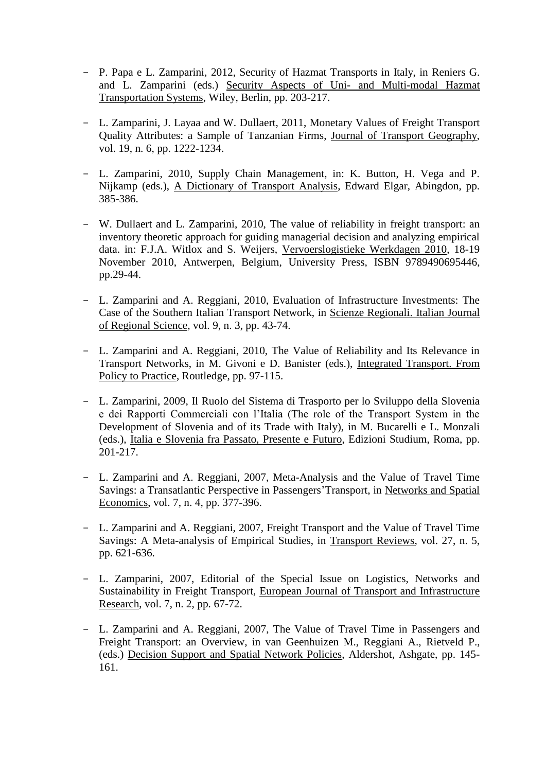- P. Papa e L. Zamparini, 2012, Security of Hazmat Transports in Italy, in Reniers G. and L. Zamparini (eds.) Security Aspects of Uni- and Multi-modal Hazmat Transportation Systems, Wiley, Berlin, pp. 203-217.
- L. Zamparini, J. Layaa and W. Dullaert, 2011, Monetary Values of Freight Transport Quality Attributes: a Sample of Tanzanian Firms, Journal of Transport Geography, vol. 19, n. 6, pp. 1222-1234.
- L. Zamparini, 2010, Supply Chain Management, in: K. Button, H. Vega and P. Nijkamp (eds.), A Dictionary of Transport Analysis, Edward Elgar, Abingdon, pp. 385-386.
- W. Dullaert and L. Zamparini, 2010, The value of reliability in freight transport: an inventory theoretic approach for guiding managerial decision and analyzing empirical data. in: F.J.A. Witlox and S. Weijers, Vervoerslogistieke Werkdagen 2010, 18-19 November 2010, Antwerpen, Belgium, University Press, ISBN 9789490695446, pp.29-44.
- L. Zamparini and A. Reggiani, 2010, Evaluation of Infrastructure Investments: The Case of the Southern Italian Transport Network, in Scienze Regionali. Italian Journal of Regional Science, vol. 9, n. 3, pp. 43-74.
- L. Zamparini and A. Reggiani, 2010, The Value of Reliability and Its Relevance in Transport Networks, in M. Givoni e D. Banister (eds.), Integrated Transport. From Policy to Practice, Routledge, pp. 97-115.
- L. Zamparini, 2009, Il Ruolo del Sistema di Trasporto per lo Sviluppo della Slovenia e dei Rapporti Commerciali con l'Italia (The role of the Transport System in the Development of Slovenia and of its Trade with Italy), in M. Bucarelli e L. Monzali (eds.), Italia e Slovenia fra Passato, Presente e Futuro, Edizioni Studium, Roma, pp. 201-217.
- L. Zamparini and A. Reggiani, 2007, Meta-Analysis and the Value of Travel Time Savings: a Transatlantic Perspective in Passengers'Transport, in Networks and Spatial Economics, vol. 7, n. 4, pp. 377-396.
- L. Zamparini and A. Reggiani, 2007, Freight Transport and the Value of Travel Time Savings: A Meta-analysis of Empirical Studies, in Transport Reviews, vol. 27, n. 5, pp. 621-636.
- L. Zamparini, 2007, Editorial of the Special Issue on Logistics, Networks and Sustainability in Freight Transport, European Journal of Transport and Infrastructure Research, vol. 7, n. 2, pp. 67-72.
- L. Zamparini and A. Reggiani, 2007, The Value of Travel Time in Passengers and Freight Transport: an Overview, in van Geenhuizen M., Reggiani A., Rietveld P., (eds.) Decision Support and Spatial Network Policies, Aldershot, Ashgate, pp. 145- 161.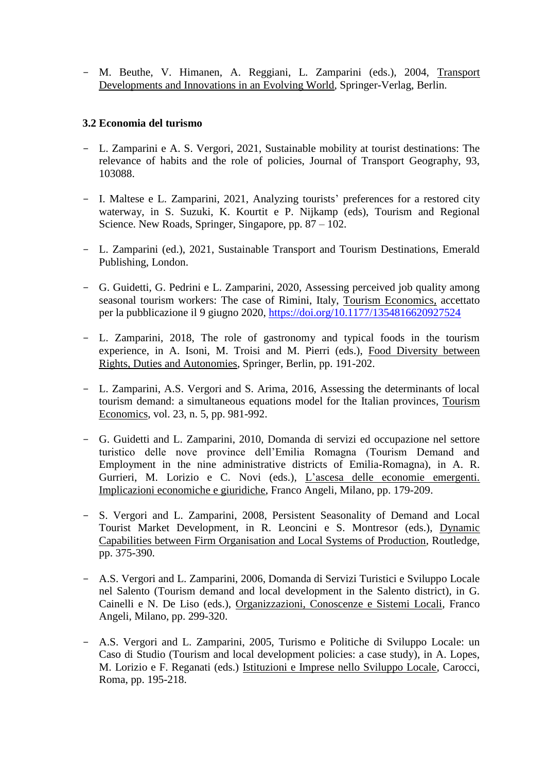- M. Beuthe, V. Himanen, A. Reggiani, L. Zamparini (eds.), 2004, Transport Developments and Innovations in an Evolving World, Springer-Verlag, Berlin.

## **3.2 Economia del turismo**

- L. Zamparini e A. S. Vergori, 2021, Sustainable mobility at tourist destinations: The relevance of habits and the role of policies, Journal of Transport Geography, 93, 103088.
- I. Maltese e L. Zamparini, 2021, Analyzing tourists' preferences for a restored city waterway, in S. Suzuki, K. Kourtit e P. Nijkamp (eds), Tourism and Regional Science. New Roads, Springer, Singapore, pp. 87 – 102.
- L. Zamparini (ed.), 2021, Sustainable Transport and Tourism Destinations, Emerald Publishing, London.
- G. Guidetti, G. Pedrini e L. Zamparini, 2020, Assessing perceived job quality among seasonal tourism workers: The case of Rimini, Italy, Tourism Economics, accettato per la pubblicazione il 9 giugno 2020,<https://doi.org/10.1177/1354816620927524>
- L. Zamparini, 2018, The role of gastronomy and typical foods in the tourism experience, in A. Isoni, M. Troisi and M. Pierri (eds.), Food Diversity between Rights, Duties and Autonomies, Springer, Berlin, pp. 191-202.
- L. Zamparini, A.S. Vergori and S. Arima, 2016, Assessing the determinants of local tourism demand: a simultaneous equations model for the Italian provinces, Tourism Economics, vol. 23, n. 5, pp. 981-992.
- G. Guidetti and L. Zamparini, 2010, Domanda di servizi ed occupazione nel settore turistico delle nove province dell'Emilia Romagna (Tourism Demand and Employment in the nine administrative districts of Emilia-Romagna), in A. R. Gurrieri, M. Lorizio e C. Novi (eds.), L'ascesa delle economie emergenti. Implicazioni economiche e giuridiche, Franco Angeli, Milano, pp. 179-209.
- S. Vergori and L. Zamparini, 2008, Persistent Seasonality of Demand and Local Tourist Market Development, in R. Leoncini e S. Montresor (eds.), Dynamic Capabilities between Firm Organisation and Local Systems of Production, Routledge, pp. 375-390.
- A.S. Vergori and L. Zamparini, 2006, Domanda di Servizi Turistici e Sviluppo Locale nel Salento (Tourism demand and local development in the Salento district), in G. Cainelli e N. De Liso (eds.), Organizzazioni, Conoscenze e Sistemi Locali, Franco Angeli, Milano, pp. 299-320.
- A.S. Vergori and L. Zamparini, 2005, Turismo e Politiche di Sviluppo Locale: un Caso di Studio (Tourism and local development policies: a case study), in A. Lopes, M. Lorizio e F. Reganati (eds.) Istituzioni e Imprese nello Sviluppo Locale, Carocci, Roma, pp. 195-218.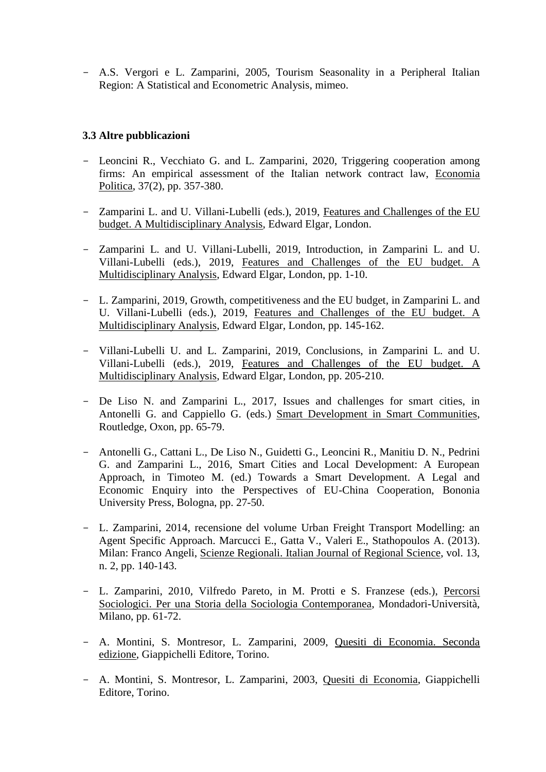- A.S. Vergori e L. Zamparini, 2005, Tourism Seasonality in a Peripheral Italian Region: A Statistical and Econometric Analysis, mimeo.

## **3.3 Altre pubblicazioni**

- Leoncini R., Vecchiato G. and L. Zamparini, 2020, Triggering cooperation among firms: An empirical assessment of the Italian network contract law, Economia Politica, 37(2), pp. 357-380.
- Zamparini L. and U. Villani-Lubelli (eds.), 2019, Features and Challenges of the EU budget. A Multidisciplinary Analysis, Edward Elgar, London.
- Zamparini L. and U. Villani-Lubelli, 2019, Introduction, in Zamparini L. and U. Villani-Lubelli (eds.), 2019, Features and Challenges of the EU budget. A Multidisciplinary Analysis, Edward Elgar, London, pp. 1-10.
- L. Zamparini, 2019, Growth, competitiveness and the EU budget, in Zamparini L. and U. Villani-Lubelli (eds.), 2019, Features and Challenges of the EU budget. A Multidisciplinary Analysis, Edward Elgar, London, pp. 145-162.
- Villani-Lubelli U. and L. Zamparini, 2019, Conclusions, in Zamparini L. and U. Villani-Lubelli (eds.), 2019, Features and Challenges of the EU budget. A Multidisciplinary Analysis, Edward Elgar, London, pp. 205-210.
- De Liso N. and Zamparini L., 2017, Issues and challenges for smart cities, in Antonelli G. and Cappiello G. (eds.) Smart Development in Smart Communities, Routledge, Oxon, pp. 65-79.
- Antonelli G., Cattani L., De Liso N., Guidetti G., Leoncini R., Manitiu D. N., Pedrini G. and Zamparini L., 2016, Smart Cities and Local Development: A European Approach, in Timoteo M. (ed.) Towards a Smart Development. A Legal and Economic Enquiry into the Perspectives of EU-China Cooperation, Bononia University Press, Bologna, pp. 27-50.
- L. Zamparini, 2014, recensione del volume Urban Freight Transport Modelling: an Agent Specific Approach. Marcucci E., Gatta V., Valeri E., Stathopoulos A. (2013). Milan: Franco Angeli, Scienze Regionali. Italian Journal of Regional Science, vol. 13, n. 2, pp. 140-143.
- L. Zamparini, 2010, Vilfredo Pareto, in M. Protti e S. Franzese (eds.), Percorsi Sociologici. Per una Storia della Sociologia Contemporanea, Mondadori-Università, Milano, pp. 61-72.
- A. Montini, S. Montresor, L. Zamparini, 2009, Quesiti di Economia. Seconda edizione, Giappichelli Editore, Torino.
- A. Montini, S. Montresor, L. Zamparini, 2003, Quesiti di Economia, Giappichelli Editore, Torino.